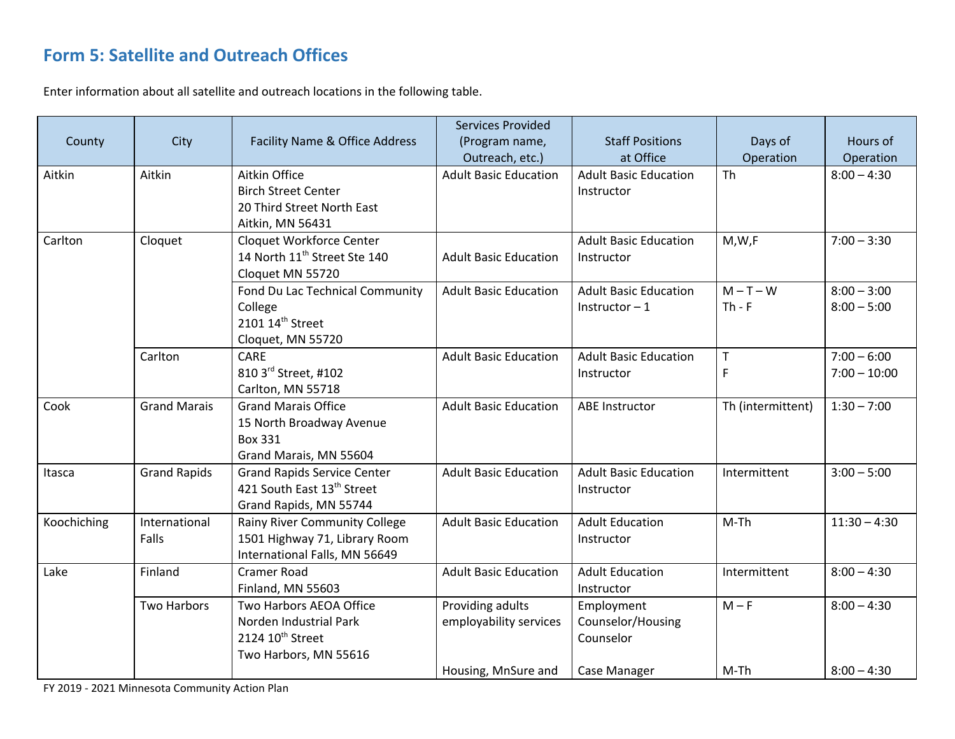## **Form 5: Satellite and Outreach Offices**

Enter information about all satellite and outreach locations in the following table.

| County      | City                   | Facility Name & Office Address                                                                             | <b>Services Provided</b><br>(Program name,<br>Outreach, etc.)     | <b>Staff Positions</b><br>at Office                          | Days of<br>Operation | Hours of<br>Operation           |
|-------------|------------------------|------------------------------------------------------------------------------------------------------------|-------------------------------------------------------------------|--------------------------------------------------------------|----------------------|---------------------------------|
| Aitkin      | Aitkin                 | Aitkin Office<br><b>Birch Street Center</b><br>20 Third Street North East<br>Aitkin, MN 56431              | <b>Adult Basic Education</b>                                      | <b>Adult Basic Education</b><br>Instructor                   | <b>Th</b>            | $8:00 - 4:30$                   |
| Carlton     | Cloquet                | Cloquet Workforce Center<br>14 North 11 <sup>th</sup> Street Ste 140<br>Cloquet MN 55720                   | <b>Adult Basic Education</b>                                      | <b>Adult Basic Education</b><br>Instructor                   | M,W,F                | $7:00 - 3:30$                   |
|             |                        | Fond Du Lac Technical Community<br>College<br>2101 14 <sup>th</sup> Street<br>Cloquet, MN 55720            | <b>Adult Basic Education</b>                                      | <b>Adult Basic Education</b><br>Instructor $-1$              | $M-T-W$<br>$Th - F$  | $8:00 - 3:00$<br>$8:00 - 5:00$  |
|             | Carlton                | CARE<br>810 3rd Street, #102<br>Carlton, MN 55718                                                          | <b>Adult Basic Education</b>                                      | <b>Adult Basic Education</b><br>Instructor                   | T<br>F               | $7:00 - 6:00$<br>$7:00 - 10:00$ |
| Cook        | <b>Grand Marais</b>    | <b>Grand Marais Office</b><br>15 North Broadway Avenue<br><b>Box 331</b><br>Grand Marais, MN 55604         | <b>Adult Basic Education</b>                                      | <b>ABE Instructor</b>                                        | Th (intermittent)    | $1:30 - 7:00$                   |
| Itasca      | <b>Grand Rapids</b>    | <b>Grand Rapids Service Center</b><br>421 South East 13th Street<br>Grand Rapids, MN 55744                 | <b>Adult Basic Education</b>                                      | <b>Adult Basic Education</b><br>Instructor                   | Intermittent         | $3:00 - 5:00$                   |
| Koochiching | International<br>Falls | Rainy River Community College<br>1501 Highway 71, Library Room<br>International Falls, MN 56649            | <b>Adult Basic Education</b>                                      | <b>Adult Education</b><br>Instructor                         | $M-Th$               | $11:30 - 4:30$                  |
| Lake        | Finland                | <b>Cramer Road</b><br>Finland, MN 55603                                                                    | <b>Adult Basic Education</b>                                      | <b>Adult Education</b><br>Instructor                         | Intermittent         | $8:00 - 4:30$                   |
|             | <b>Two Harbors</b>     | Two Harbors AEOA Office<br>Norden Industrial Park<br>2124 10 <sup>th</sup> Street<br>Two Harbors, MN 55616 | Providing adults<br>employability services<br>Housing, MnSure and | Employment<br>Counselor/Housing<br>Counselor<br>Case Manager | $M - F$<br>$M-Th$    | $8:00 - 4:30$<br>$8:00 - 4:30$  |

FY 2019 - 2021 Minnesota Community Action Plan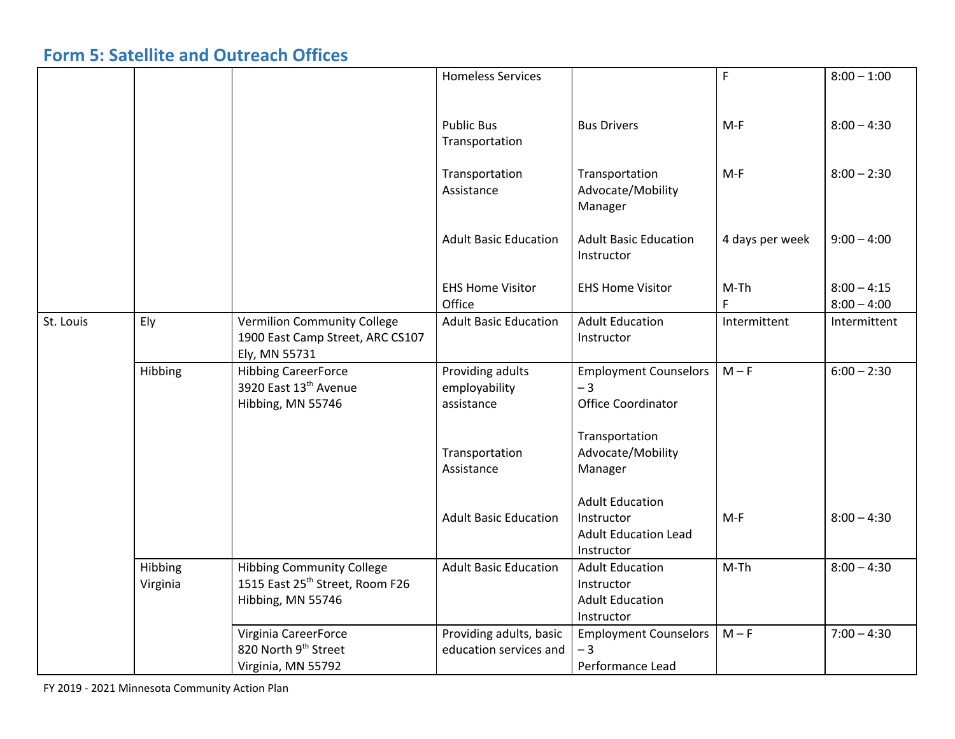## **Form 5: Satellite and Outreach Offices**

|           |          |                                             | <b>Homeless Services</b>     |                              | $\mathsf F$     | $8:00 - 1:00$ |
|-----------|----------|---------------------------------------------|------------------------------|------------------------------|-----------------|---------------|
|           |          |                                             |                              |                              |                 |               |
|           |          |                                             |                              |                              |                 |               |
|           |          |                                             | <b>Public Bus</b>            | <b>Bus Drivers</b>           | $M-F$           | $8:00 - 4:30$ |
|           |          |                                             | Transportation               |                              |                 |               |
|           |          |                                             |                              |                              |                 |               |
|           |          |                                             | Transportation               | Transportation               | $M-F$           | $8:00 - 2:30$ |
|           |          |                                             | Assistance                   | Advocate/Mobility            |                 |               |
|           |          |                                             |                              | Manager                      |                 |               |
|           |          |                                             | <b>Adult Basic Education</b> | <b>Adult Basic Education</b> |                 | $9:00 - 4:00$ |
|           |          |                                             |                              | Instructor                   | 4 days per week |               |
|           |          |                                             |                              |                              |                 |               |
|           |          |                                             | <b>EHS Home Visitor</b>      | <b>EHS Home Visitor</b>      | $M-Th$          | $8:00 - 4:15$ |
|           |          |                                             | Office                       |                              | $\mathsf F$     | $8:00 - 4:00$ |
| St. Louis | Ely      | <b>Vermilion Community College</b>          | <b>Adult Basic Education</b> | <b>Adult Education</b>       | Intermittent    | Intermittent  |
|           |          | 1900 East Camp Street, ARC CS107            |                              | Instructor                   |                 |               |
|           |          | Ely, MN 55731                               |                              |                              |                 |               |
|           | Hibbing  | <b>Hibbing CareerForce</b>                  | Providing adults             | <b>Employment Counselors</b> | $M - F$         | $6:00 - 2:30$ |
|           |          | 3920 East 13th Avenue                       | employability                | $-3$                         |                 |               |
|           |          | Hibbing, MN 55746                           | assistance                   | <b>Office Coordinator</b>    |                 |               |
|           |          |                                             |                              |                              |                 |               |
|           |          |                                             |                              | Transportation               |                 |               |
|           |          |                                             | Transportation               | Advocate/Mobility            |                 |               |
|           |          |                                             | Assistance                   | Manager                      |                 |               |
|           |          |                                             |                              | <b>Adult Education</b>       |                 |               |
|           |          |                                             | <b>Adult Basic Education</b> | Instructor                   | $M-F$           | $8:00 - 4:30$ |
|           |          |                                             |                              | <b>Adult Education Lead</b>  |                 |               |
|           |          |                                             |                              | Instructor                   |                 |               |
|           | Hibbing  | <b>Hibbing Community College</b>            | <b>Adult Basic Education</b> | <b>Adult Education</b>       | $M-Th$          | $8:00 - 4:30$ |
|           | Virginia | 1515 East 25 <sup>th</sup> Street, Room F26 |                              | Instructor                   |                 |               |
|           |          | Hibbing, MN 55746                           |                              | <b>Adult Education</b>       |                 |               |
|           |          |                                             |                              | Instructor                   |                 |               |
|           |          | Virginia CareerForce                        | Providing adults, basic      | <b>Employment Counselors</b> | $M - F$         | $7:00 - 4:30$ |
|           |          | 820 North 9 <sup>th</sup> Street            | education services and       | $-3$                         |                 |               |
|           |          | Virginia, MN 55792                          |                              | Performance Lead             |                 |               |